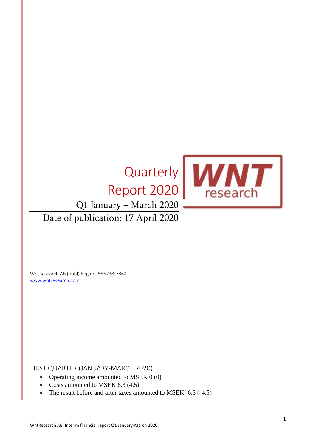# **Quarterly** Report 2020 Q1 January – March 2020 Date of publication: 17 April 2020



WntResearch AB (publ) Reg.no. 556738-7864 [www.wntresearch.com](http://www.wntresearch.com/)

FIRST QUARTER (JANUARY-MARCH 2020)

- Operating income amounted to MSEK 0 (0)
- Costs amounted to MSEK 6.3 (4.5)
- The result before and after taxes amounted to MSEK -6.3 (-4.5)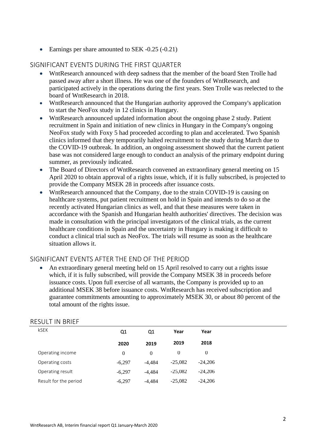• Earnings per share amounted to SEK -0.25 (-0.21)

### SIGNIFICANT EVENTS DURING THE FIRST QUARTER

- WntResearch announced with deep sadness that the member of the board Sten Trolle had passed away after a short illness. He was one of the founders of WntResearch, and participated actively in the operations during the first years. Sten Trolle was reelected to the board of WntResearch in 2018.
- WntResearch announced that the Hungarian authority approved the Company's application to start the NeoFox study in 12 clinics in Hungary.
- WntResearch announced updated information about the ongoing phase 2 study. Patient recruitment in Spain and initiation of new clinics in Hungary in the Company's ongoing NeoFox study with Foxy 5 had proceeded according to plan and accelerated. Two Spanish clinics informed that they temporarily halted recruitment to the study during March due to the COVID-19 outbreak. In addition, an ongoing assessment showed that the current patient base was not considered large enough to conduct an analysis of the primary endpoint during summer, as previously indicated.
- The Board of Directors of WntResearch convened an extraordinary general meeting on 15 April 2020 to obtain approval of a rights issue, which, if it is fully subscribed, is projected to provide the Company MSEK 28 in proceeds after issuance costs.
- WntResearch announced that the Company, due to the strain COVID-19 is causing on healthcare systems, put patient recruitment on hold in Spain and intends to do so at the recently activated Hungarian clinics as well, and that these measures were taken in accordance with the Spanish and Hungarian health authorities' directives. The decision was made in consultation with the principal investigators of the clinical trials, as the current healthcare conditions in Spain and the uncertainty in Hungary is making it difficult to conduct a clinical trial such as NeoFox. The trials will resume as soon as the healthcare situation allows it.

#### SIGNIFICANT EVENTS AFTER THE END OF THE PERIOD

• An extraordinary general meeting held on 15 April resolved to carry out a rights issue which, if it is fully subscribed, will provide the Company MSEK 38 in proceeds before issuance costs. Upon full exercise of all warrants, the Company is provided up to an additional MSEK 38 before issuance costs. WntResearch has received subscription and guarantee commitments amounting to approximately MSEK 30, or about 80 percent of the total amount of the rights issue.

| RESULI IIV DRIEF      |          |          |           |           |
|-----------------------|----------|----------|-----------|-----------|
| kSEK                  | Q1       | Q1       | Year      | Year      |
|                       | 2020     | 2019     | 2019      | 2018      |
| Operating income      | 0        | $\theta$ | $\theta$  | $\theta$  |
| Operating costs       | $-6.297$ | $-4.484$ | $-25,082$ | $-24,206$ |
| Operating result      | $-6.297$ | $-4.484$ | $-25,082$ | $-24,206$ |
| Result for the period | $-6,297$ | $-4.484$ | $-25,082$ | $-24,206$ |
|                       |          |          |           |           |

## RESULT IN BRIEF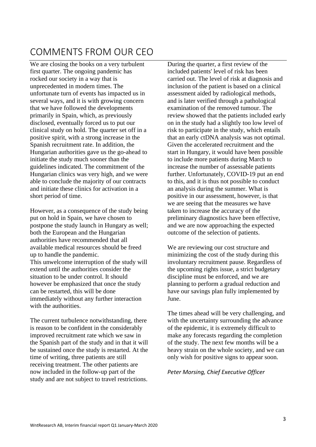# COMMENTS FROM OUR CEO

We are closing the books on a very turbulent first quarter. The ongoing pandemic has rocked our society in a way that is unprecedented in modern times. The unfortunate turn of events has impacted us in several ways, and it is with growing concern that we have followed the developments primarily in Spain, which, as previously disclosed, eventually forced us to put our clinical study on hold. The quarter set off in a positive spirit, with a strong increase in the Spanish recruitment rate. In addition, the Hungarian authorities gave us the go-ahead to initiate the study much sooner than the guidelines indicated. The commitment of the Hungarian clinics was very high, and we were able to conclude the majority of our contracts and initiate these clinics for activation in a short period of time.

However, as a consequence of the study being put on hold in Spain, we have chosen to postpone the study launch in Hungary as well; both the European and the Hungarian authorities have recommended that all available medical resources should be freed up to handle the pandemic. This unwelcome interruption of the study will extend until the authorities consider the situation to be under control. It should however be emphasized that once the study can be restarted, this will be done immediately without any further interaction with the authorities.

The current turbulence notwithstanding, there is reason to be confident in the considerably improved recruitment rate which we saw in the Spanish part of the study and in that it will be sustained once the study is restarted. At the time of writing, three patients are still receiving treatment. The other patients are now included in the follow-up part of the study and are not subject to travel restrictions.

During the quarter, a first review of the included patients' level of risk has been carried out. The level of risk at diagnosis and inclusion of the patient is based on a clinical assessment aided by radiological methods, and is later verified through a pathological examination of the removed tumour. The review showed that the patients included early on in the study had a slightly too low level of risk to participate in the study, which entails that an early ctDNA analysis was not optimal. Given the accelerated recruitment and the start in Hungary, it would have been possible to include more patients during March to increase the number of assessable patients further. Unfortunately, COVID-19 put an end to this, and it is thus not possible to conduct an analysis during the summer. What is positive in our assessment, however, is that we are seeing that the measures we have taken to increase the accuracy of the preliminary diagnostics have been effective, and we are now approaching the expected outcome of the selection of patients.

We are reviewing our cost structure and minimizing the cost of the study during this involuntary recruitment pause. Regardless of the upcoming rights issue, a strict budgetary discipline must be enforced, and we are planning to perform a gradual reduction and have our savings plan fully implemented by June.

The times ahead will be very challenging, and with the uncertainty surrounding the advance of the epidemic, it is extremely difficult to make any forecasts regarding the completion of the study. The next few months will be a heavy strain on the whole society, and we can only wish for positive signs to appear soon.

#### *Peter Morsing, Chief Executive Officer*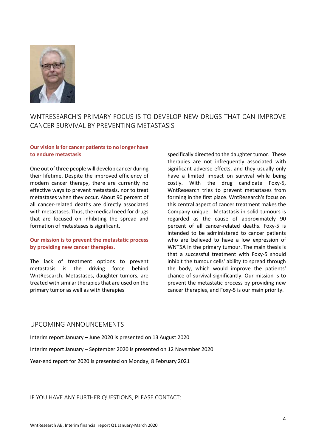

# WNTRESEARCH'S PRIMARY FOCUS IS TO DEVELOP NEW DRUGS THAT CAN IMPROVE CANCER SURVIVAL BY PREVENTING METASTASIS

#### **Our** vision is for cancer patients to no longer have **to endure metastasis**

One out of three people will develop cancer during their lifetime. Despite the improved efficiency of modern cancer therapy, there are currently no effective ways to prevent metastasis, nor to treat metastases when they occur. About 90 percent of all cancer-related deaths are directly associated with metastases. Thus, the medical need for drugs that are focused on inhibiting the spread and formation of metastases is significant.

#### **Our mission is to prevent the metastatic process by providing new cancer therapies.**

The lack of treatment options to prevent metastasis is the driving force behind WntResearch. Metastases, daughter tumors, are treated with similar therapies that are used on the primary tumor as well as with therapies

specifically directed to the daughter tumor. These therapies are not infrequently associated with significant adverse effects, and they usually only have a limited impact on survival while being costly. With the drug candidate Foxy-5, WntResearch tries to prevent metastases from forming in the first place. WntResearch's focus on this central aspect of cancer treatment makes the Company unique. Metastasis in solid tumours is regarded as the cause of approximately 90 percent of all cancer-related deaths. Foxy-5 is intended to be administered to cancer patients who are believed to have a low expression of WNT5A in the primary tumour. The main thesis is that a successful treatment with Foxy-5 should inhibit the tumour cells' ability to spread through the body, which would improve the patients' chance of survival significantly. Our mission is to prevent the metastatic process by providing new cancer therapies, and Foxy-5 is our main priority.

#### UPCOMING ANNOUNCEMENTS

Interim report January – June 2020 is presented on 13 August 2020 Interim report January – September 2020 is presented on 12 November 2020 Year-end report for 2020 is presented on Monday, 8 February 2021

IF YOU HAVE ANY FURTHER QUESTIONS, PLEASE CONTACT: